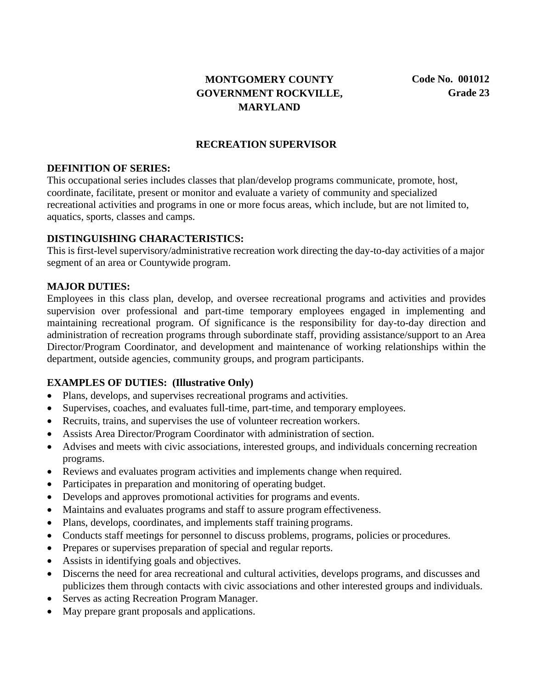# **MONTGOMERY COUNTY GOVERNMENT ROCKVILLE, MARYLAND**

#### **RECREATION SUPERVISOR**

#### **DEFINITION OF SERIES:**

This occupational series includes classes that plan/develop programs communicate, promote, host, coordinate, facilitate, present or monitor and evaluate a variety of community and specialized recreational activities and programs in one or more focus areas, which include, but are not limited to, aquatics, sports, classes and camps.

#### **DISTINGUISHING CHARACTERISTICS:**

This is first-level supervisory/administrative recreation work directing the day-to-day activities of a major segment of an area or Countywide program.

#### **MAJOR DUTIES:**

Employees in this class plan, develop, and oversee recreational programs and activities and provides supervision over professional and part-time temporary employees engaged in implementing and maintaining recreational program. Of significance is the responsibility for day-to-day direction and administration of recreation programs through subordinate staff, providing assistance/support to an Area Director/Program Coordinator, and development and maintenance of working relationships within the department, outside agencies, community groups, and program participants.

#### **EXAMPLES OF DUTIES: (Illustrative Only)**

- Plans, develops, and supervises recreational programs and activities.
- Supervises, coaches, and evaluates full-time, part-time, and temporary employees.
- Recruits, trains, and supervises the use of volunteer recreation workers.
- Assists Area Director/Program Coordinator with administration of section.
- Advises and meets with civic associations, interested groups, and individuals concerning recreation programs.
- Reviews and evaluates program activities and implements change when required.
- Participates in preparation and monitoring of operating budget.
- Develops and approves promotional activities for programs and events.
- Maintains and evaluates programs and staff to assure program effectiveness.
- Plans, develops, coordinates, and implements staff training programs.
- Conducts staff meetings for personnel to discuss problems, programs, policies or procedures.
- Prepares or supervises preparation of special and regular reports.
- Assists in identifying goals and objectives.
- Discerns the need for area recreational and cultural activities, develops programs, and discusses and publicizes them through contacts with civic associations and other interested groups and individuals.
- Serves as acting Recreation Program Manager.
- May prepare grant proposals and applications.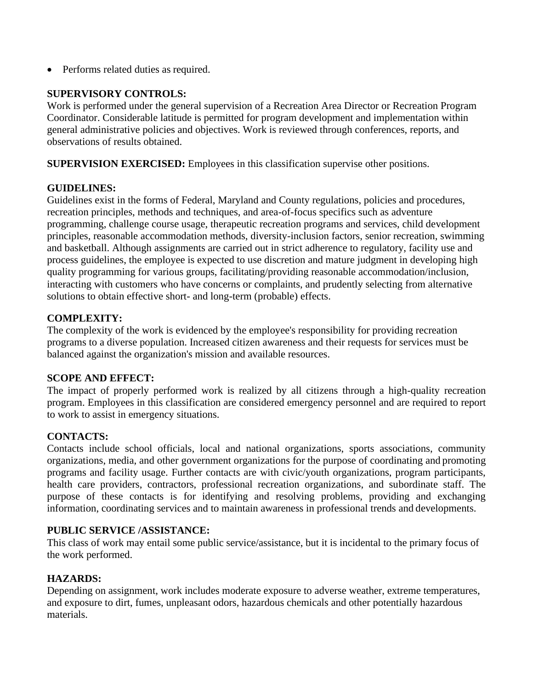• Performs related duties as required.

### **SUPERVISORY CONTROLS:**

Work is performed under the general supervision of a Recreation Area Director or Recreation Program Coordinator. Considerable latitude is permitted for program development and implementation within general administrative policies and objectives. Work is reviewed through conferences, reports, and observations of results obtained.

**SUPERVISION EXERCISED:** Employees in this classification supervise other positions.

## **GUIDELINES:**

Guidelines exist in the forms of Federal, Maryland and County regulations, policies and procedures, recreation principles, methods and techniques, and area-of-focus specifics such as adventure programming, challenge course usage, therapeutic recreation programs and services, child development principles, reasonable accommodation methods, diversity-inclusion factors, senior recreation, swimming and basketball. Although assignments are carried out in strict adherence to regulatory, facility use and process guidelines, the employee is expected to use discretion and mature judgment in developing high quality programming for various groups, facilitating/providing reasonable accommodation/inclusion, interacting with customers who have concerns or complaints, and prudently selecting from alternative solutions to obtain effective short- and long-term (probable) effects.

## **COMPLEXITY:**

The complexity of the work is evidenced by the employee's responsibility for providing recreation programs to a diverse population. Increased citizen awareness and their requests for services must be balanced against the organization's mission and available resources.

### **SCOPE AND EFFECT:**

The impact of properly performed work is realized by all citizens through a high-quality recreation program. Employees in this classification are considered emergency personnel and are required to report to work to assist in emergency situations.

# **CONTACTS:**

Contacts include school officials, local and national organizations, sports associations, community organizations, media, and other government organizations for the purpose of coordinating and promoting programs and facility usage. Further contacts are with civic/youth organizations, program participants, health care providers, contractors, professional recreation organizations, and subordinate staff. The purpose of these contacts is for identifying and resolving problems, providing and exchanging information, coordinating services and to maintain awareness in professional trends and developments.

### **PUBLIC SERVICE /ASSISTANCE:**

This class of work may entail some public service/assistance, but it is incidental to the primary focus of the work performed.

### **HAZARDS:**

Depending on assignment, work includes moderate exposure to adverse weather, extreme temperatures, and exposure to dirt, fumes, unpleasant odors, hazardous chemicals and other potentially hazardous materials.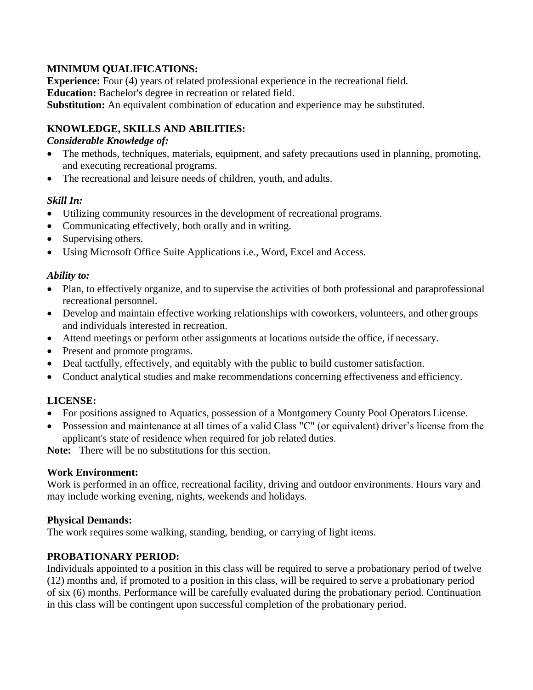## **MINIMUM QUALIFICATIONS:**

**Experience:** Four (4) years of related professional experience in the recreational field. **Education:** Bachelor's degree in recreation or related field. **Substitution:** An equivalent combination of education and experience may be substituted.

## **KNOWLEDGE, SKILLS AND ABILITIES:**

### *Considerable Knowledge of:*

- The methods, techniques, materials, equipment, and safety precautions used in planning, promoting, and executing recreational programs.
- The recreational and leisure needs of children, youth, and adults.

## *Skill In:*

- Utilizing community resources in the development of recreational programs.
- Communicating effectively, both orally and in writing.
- Supervising others.
- Using Microsoft Office Suite Applications i.e., Word, Excel and Access.

### *Ability to:*

- Plan, to effectively organize, and to supervise the activities of both professional and paraprofessional recreational personnel.
- Develop and maintain effective working relationships with coworkers, volunteers, and other groups and individuals interested in recreation.
- Attend meetings or perform other assignments at locations outside the office, if necessary.
- Present and promote programs.
- Deal tactfully, effectively, and equitably with the public to build customer satisfaction.
- Conduct analytical studies and make recommendations concerning effectiveness and efficiency.

# **LICENSE:**

- For positions assigned to Aquatics, possession of a Montgomery County Pool Operators License.
- Possession and maintenance at all times of a valid Class "C" (or equivalent) driver's license from the applicant's state of residence when required for job related duties.

**Note:** There will be no substitutions for this section.

### **Work Environment:**

Work is performed in an office, recreational facility, driving and outdoor environments. Hours vary and may include working evening, nights, weekends and holidays.

### **Physical Demands:**

The work requires some walking, standing, bending, or carrying of light items.

### **PROBATIONARY PERIOD:**

Individuals appointed to a position in this class will be required to serve a probationary period of twelve (12) months and, if promoted to a position in this class, will be required to serve a probationary period of six (6) months. Performance will be carefully evaluated during the probationary period. Continuation in this class will be contingent upon successful completion of the probationary period.